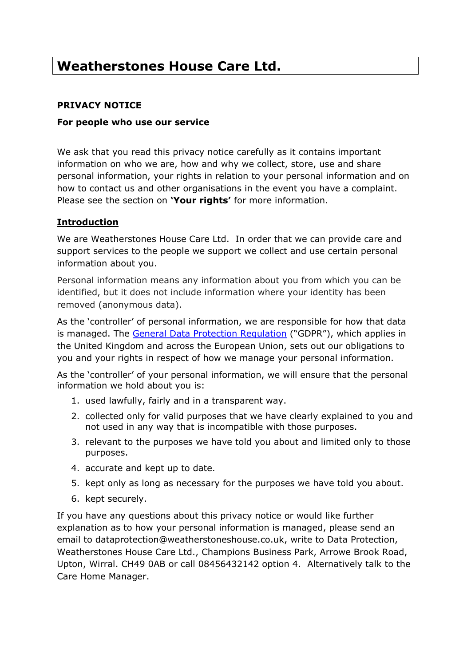# **Weatherstones House Care Ltd.**

## **PRIVACY NOTICE**

#### **For people who use our service**

We ask that you read this privacy notice carefully as it contains important information on who we are, how and why we collect, store, use and share personal information, your rights in relation to your personal information and on how to contact us and other organisations in the event you have a complaint. Please see the section on **'Your rights'** for more information.

## **Introduction**

We are Weatherstones House Care Ltd. In order that we can provide care and support services to the people we support we collect and use certain personal information about you.

Personal information means any information about you from which you can be identified, but it does not include information where your identity has been removed (anonymous data).

As the 'controller' of personal information, we are responsible for how that data is managed. The General Data Protection Regulation ("GDPR"), which applies in the United Kingdom and across the European Union, sets out our obligations to you and your rights in respect of how we manage your personal information.

As the 'controller' of your personal information, we will ensure that the personal information we hold about you is:

- 1. used lawfully, fairly and in a transparent way.
- 2. collected only for valid purposes that we have clearly explained to you and not used in any way that is incompatible with those purposes.
- 3. relevant to the purposes we have told you about and limited only to those purposes.
- 4. accurate and kept up to date.
- 5. kept only as long as necessary for the purposes we have told you about.
- 6. kept securely.

If you have any questions about this privacy notice or would like further explanation as to how your personal information is managed, please send an email to dataprotection@weatherstoneshouse.co.uk, write to Data Protection, Weatherstones House Care Ltd., Champions Business Park, Arrowe Brook Road, Upton, Wirral. CH49 0AB or call 08456432142 option 4. Alternatively talk to the Care Home Manager.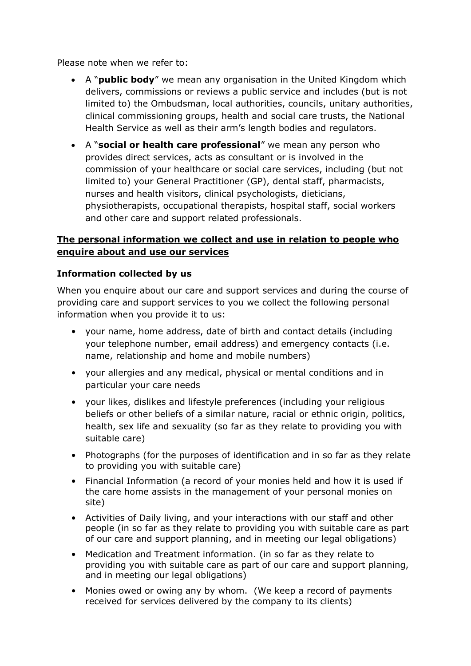Please note when we refer to:

- A "**public body**" we mean any organisation in the United Kingdom which delivers, commissions or reviews a public service and includes (but is not limited to) the Ombudsman, local authorities, councils, unitary authorities, clinical commissioning groups, health and social care trusts, the National Health Service as well as their arm's length bodies and regulators.
- A "**social or health care professional**" we mean any person who provides direct services, acts as consultant or is involved in the commission of your healthcare or social care services, including (but not limited to) your General Practitioner (GP), dental staff, pharmacists, nurses and health visitors, clinical psychologists, dieticians, physiotherapists, occupational therapists, hospital staff, social workers and other care and support related professionals.

# **The personal information we collect and use in relation to people who enquire about and use our services**

# **Information collected by us**

When you enquire about our care and support services and during the course of providing care and support services to you we collect the following personal information when you provide it to us:

- your name, home address, date of birth and contact details (including your telephone number, email address) and emergency contacts (i.e. name, relationship and home and mobile numbers)
- your allergies and any medical, physical or mental conditions and in particular your care needs
- your likes, dislikes and lifestyle preferences (including your religious beliefs or other beliefs of a similar nature, racial or ethnic origin, politics, health, sex life and sexuality (so far as they relate to providing you with suitable care)
- Photographs (for the purposes of identification and in so far as they relate to providing you with suitable care)
- Financial Information (a record of your monies held and how it is used if the care home assists in the management of your personal monies on site)
- Activities of Daily living, and your interactions with our staff and other people (in so far as they relate to providing you with suitable care as part of our care and support planning, and in meeting our legal obligations)
- Medication and Treatment information. (in so far as they relate to providing you with suitable care as part of our care and support planning, and in meeting our legal obligations)
- Monies owed or owing any by whom. (We keep a record of payments received for services delivered by the company to its clients)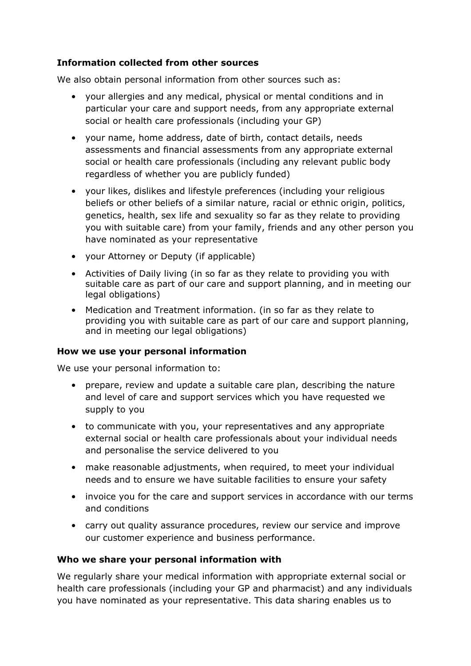# **Information collected from other sources**

We also obtain personal information from other sources such as:

- your allergies and any medical, physical or mental conditions and in particular your care and support needs, from any appropriate external social or health care professionals (including your GP)
- your name, home address, date of birth, contact details, needs assessments and financial assessments from any appropriate external social or health care professionals (including any relevant public body regardless of whether you are publicly funded)
- your likes, dislikes and lifestyle preferences (including your religious beliefs or other beliefs of a similar nature, racial or ethnic origin, politics, genetics, health, sex life and sexuality so far as they relate to providing you with suitable care) from your family, friends and any other person you have nominated as your representative
- your Attorney or Deputy (if applicable)
- Activities of Daily living (in so far as they relate to providing you with suitable care as part of our care and support planning, and in meeting our legal obligations)
- Medication and Treatment information. (in so far as they relate to providing you with suitable care as part of our care and support planning, and in meeting our legal obligations)

#### **How we use your personal information**

We use your personal information to:

- prepare, review and update a suitable care plan, describing the nature and level of care and support services which you have requested we supply to you
- to communicate with you, your representatives and any appropriate external social or health care professionals about your individual needs and personalise the service delivered to you
- make reasonable adjustments, when required, to meet your individual needs and to ensure we have suitable facilities to ensure your safety
- invoice you for the care and support services in accordance with our terms and conditions
- carry out quality assurance procedures, review our service and improve our customer experience and business performance.

#### **Who we share your personal information with**

We regularly share your medical information with appropriate external social or health care professionals (including your GP and pharmacist) and any individuals you have nominated as your representative. This data sharing enables us to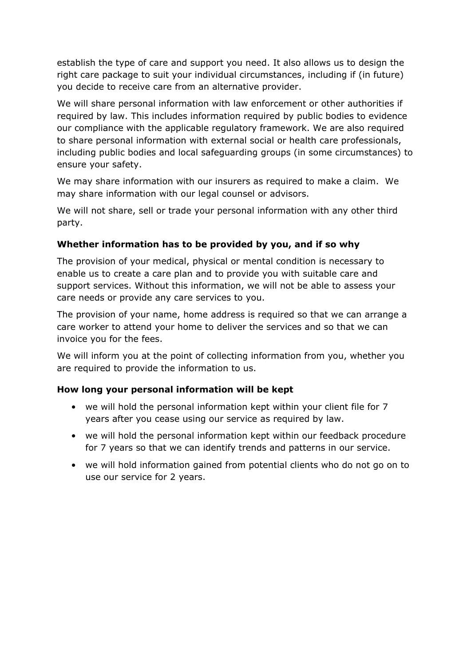establish the type of care and support you need. It also allows us to design the right care package to suit your individual circumstances, including if (in future) you decide to receive care from an alternative provider.

We will share personal information with law enforcement or other authorities if required by law. This includes information required by public bodies to evidence our compliance with the applicable regulatory framework. We are also required to share personal information with external social or health care professionals, including public bodies and local safeguarding groups (in some circumstances) to ensure your safety.

We may share information with our insurers as required to make a claim. We may share information with our legal counsel or advisors.

We will not share, sell or trade your personal information with any other third party.

# **Whether information has to be provided by you, and if so why**

The provision of your medical, physical or mental condition is necessary to enable us to create a care plan and to provide you with suitable care and support services. Without this information, we will not be able to assess your care needs or provide any care services to you.

The provision of your name, home address is required so that we can arrange a care worker to attend your home to deliver the services and so that we can invoice you for the fees.

We will inform you at the point of collecting information from you, whether you are required to provide the information to us.

#### **How long your personal information will be kept**

- we will hold the personal information kept within your client file for 7 years after you cease using our service as required by law.
- we will hold the personal information kept within our feedback procedure for 7 years so that we can identify trends and patterns in our service.
- we will hold information gained from potential clients who do not go on to use our service for 2 years.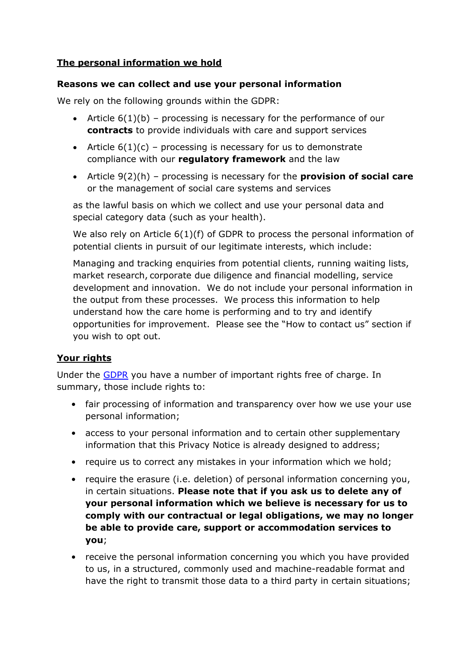# **The personal information we hold**

## **Reasons we can collect and use your personal information**

We rely on the following grounds within the GDPR:

- Article 6(1)(b) processing is necessary for the performance of our **contracts** to provide individuals with care and support services
- Article  $6(1)(c)$  processing is necessary for us to demonstrate compliance with our **regulatory framework** and the law
- Article 9(2)(h) processing is necessary for the **provision of social care** or the management of social care systems and services

as the lawful basis on which we collect and use your personal data and special category data (such as your health).

We also rely on Article 6(1)(f) of GDPR to process the personal information of potential clients in pursuit of our legitimate interests, which include:

Managing and tracking enquiries from potential clients, running waiting lists, market research, corporate due diligence and financial modelling, service development and innovation. We do not include your personal information in the output from these processes. We process this information to help understand how the care home is performing and to try and identify opportunities for improvement. Please see the "How to contact us" section if you wish to opt out.

# **Your rights**

Under the GDPR you have a number of important rights free of charge. In summary, those include rights to:

- fair processing of information and transparency over how we use your use personal information;
- access to your personal information and to certain other supplementary information that this Privacy Notice is already designed to address;
- require us to correct any mistakes in your information which we hold;
- require the erasure (i.e. deletion) of personal information concerning you, in certain situations. **Please note that if you ask us to delete any of your personal information which we believe is necessary for us to comply with our contractual or legal obligations, we may no longer be able to provide care, support or accommodation services to you**;
- receive the personal information concerning you which you have provided to us, in a structured, commonly used and machine-readable format and have the right to transmit those data to a third party in certain situations;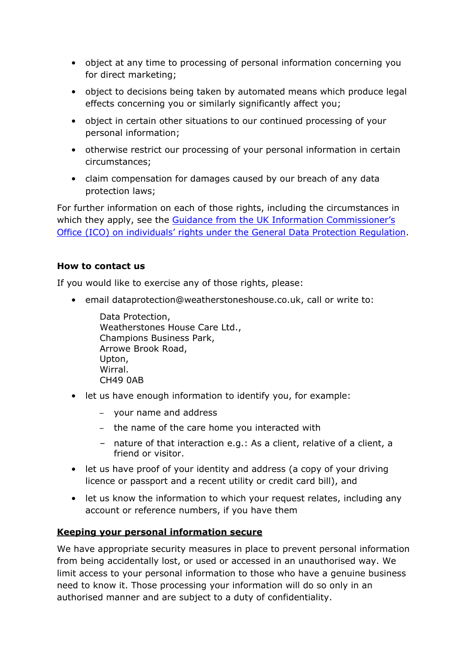- object at any time to processing of personal information concerning you for direct marketing;
- object to decisions being taken by automated means which produce legal effects concerning you or similarly significantly affect you;
- object in certain other situations to our continued processing of your personal information;
- otherwise restrict our processing of your personal information in certain circumstances;
- claim compensation for damages caused by our breach of any data protection laws;

For further information on each of those rights, including the circumstances in which they apply, see the Guidance from the UK Information Commissioner's Office (ICO) on individuals' rights under the General Data Protection Regulation.

## **How to contact us**

If you would like to exercise any of those rights, please:

• email dataprotection@weatherstoneshouse.co.uk, call or write to:

Data Protection, Weatherstones House Care Ltd., Champions Business Park, Arrowe Brook Road, Upton, Wirral. CH49 0AB

- let us have enough information to identify you, for example:
	- your name and address
	- the name of the care home you interacted with
	- nature of that interaction e.g.: As a client, relative of a client, a friend or visitor.
- let us have proof of your identity and address (a copy of your driving licence or passport and a recent utility or credit card bill), and
- let us know the information to which your request relates, including any account or reference numbers, if you have them

# **Keeping your personal information secure**

We have appropriate security measures in place to prevent personal information from being accidentally lost, or used or accessed in an unauthorised way. We limit access to your personal information to those who have a genuine business need to know it. Those processing your information will do so only in an authorised manner and are subject to a duty of confidentiality.